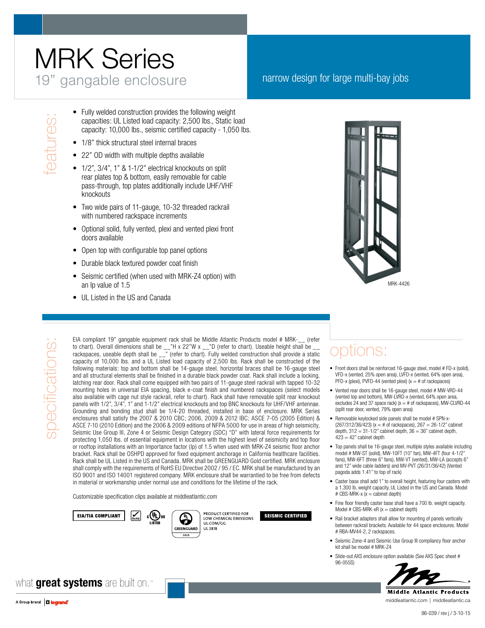# MRK Series 19" gangable enclosure narrow design for large multi-bay jobs

- Fully welded construction provides the following weight<br>
Conservant capacities: UL Listed load capacity: 2,500 lbs., Static locapacity: 10,000 lbs., seismic certified capacity 1,05<br>
1/8" thick structural steel internal b capacities: UL Listed load capacity: 2,500 lbs., Static load capacity: 10,000 lbs., seismic certified capacity - 1,050 lbs.
	- 1/8" thick structural steel internal braces
	- 22" OD width with multiple depths available
	- 1/2", 3/4", 1" & 1-1/2" electrical knockouts on split rear plates top & bottom, easily removable for cable pass-through, top plates additionally include UHF/VHF knockouts
	- Two wide pairs of 11-gauge, 10-32 threaded rackrail with numbered rackspace increments
	- Optional solid, fully vented, plexi and vented plexi front doors available
	- Open top with configurable top panel options
	- Durable black textured powder coat finish
	- Seismic certified (when used with MRK-Z4 option) with an Ip value of 1.5
	- UL Listed in the US and Canada



specifications: specifications

EIA compliant 19" gangable equipment rack shall be Middle Atlantic Products model # MRK-\_\_ (refer to chart). Overall dimensions shall be \_\_"H x 22"W x \_\_"D (refer to chart). Useable height shall be \_\_ rackspaces, useable depth shall be \_\_" (refer to chart). Fully welded construction shall provide a static capacity of 10,000 lbs. and a UL Listed load capacity of 2,500 lbs. Rack shall be constructed of the following materials: top and bottom shall be 14-gauge steel, horizontal braces shall be 16-gauge steel and all structural elements shall be finished in a durable black powder coat. Rack shall include a locking, latching rear door. Rack shall come equipped with two pairs of 11-gauge steel rackrail with tapped 10-32 mounting holes in universal EIA spacing, black e-coat finish and numbered rackspaces (select models also available with cage nut style rackrail, refer to chart). Rack shall have removable split rear knockout panels with 1/2", 3/4", 1" and 1-1/2" electrical knockouts and top BNC knockouts for UHF/VHF antennae. Grounding and bonding stud shall be 1/4-20 threaded, installed in base of enclosure. MRK Series enclosures shall satisfy the 2007 & 2010 CBC; 2006, 2009 & 2012 IBC; ASCE 7-05 (2005 Edition) & ASCE 7-10 (2010 Edition) and the 2006 & 2009 editions of NFPA 5000 for use in areas of high seismicity, Seismic Use Group III, Zone 4 or Seismic Design Category (SDC) "D" with lateral force requirements for protecting 1,050 lbs. of essential equipment in locations with the highest level of seismicity and top floor or rooftop installations with an Importance factor (Ip) of 1.5 when used with MRK-Z4 seismic floor anchor bracket. Rack shall be OSHPD approved for fixed equipment anchorage in California healthcare facilities. Rack shall be UL Listed in the US and Canada. MRK shall be GREENGUARD Gold certified. MRK enclosure shall comply with the requirements of RoHS EU Directive 2002 / 95 / EC. MRK shall be manufactured by an ISO 9001 and ISO 14001 registered company. MRK enclosure shall be warrantied to be free from defects in material or workmanship under normal use and conditions for the lifetime of the rack.

Customizable specification clips available at middleatlantic.com





UL.COM/GG

UL 2818

#### options:

- Front doors shall be reinforced 16-gauge steel, model # FD-x (solid), VFD-x (vented, 25% open area), LVFD-x (vented, 64% open area), PFD-x (plexi), PVFD-44 (vented plexi) ( $x = #$  of rackspaces
- Vented rear doors shall be 16-gauge steel, model # MW-VRD-44 (vented top and bottom), MW-LVRD-x (vented, 64% open area, excludes 24 and 37 space rack)  $(x = #$  of rackspaces), MW-CLVRD-44 (split rear door, vented, 79% open area)
- • Removable keylocked side panels shall be model # SPN-x-  $(267/312/36/423)$  (x = # of rackspaces),  $267 = 26-1/2$ " cabinet depth,  $312 = 31 - 1/2$ " cabinet depth,  $36 = 36$ " cabinet depth,  $423 = 42"$  cabinet depth
- Top panels shall be 16-gauge steel, multiple styles available including model # MW-ST (solid), MW-10FT (10" fan), MW-4FT (four 4-1/2" fans), MW-6FT (three 6" fans), MW-VT (vented), MW-LA (accepts 6" and 12" wide cable ladders) and MV-PVT (26/31/36/42) (Vented pagoda adds 1.41" to top of rack)
- Caster base shall add 1" to overall height, featuring four casters with a 1,300 lb. weight capacity, UL Listed in the US and Canada. Model  $# CBS-MRK-x (x = cabinet depth)$
- Fine floor friendly caster base shall have a 700 lb. weight capacity. Model # CBS-MRK-xR  $(x =$  cabinet depth)
- • Rail bracket adapters shall allow for mounting of panels vertically between rackrail brackets. Available for 44 space enclosures. Model # RBA-MV44-2, 2 rackspaces.
- Seismic Zone-4 and Seismic Use Group III compliancy floor anchor kit shall be model # MRK-Z4
- Slide-out AXS enclosure option available (See AXS Spec sheet # 96-055S)



middleatlantic.com | middleatlantic.ca

what **great systems** are built on.™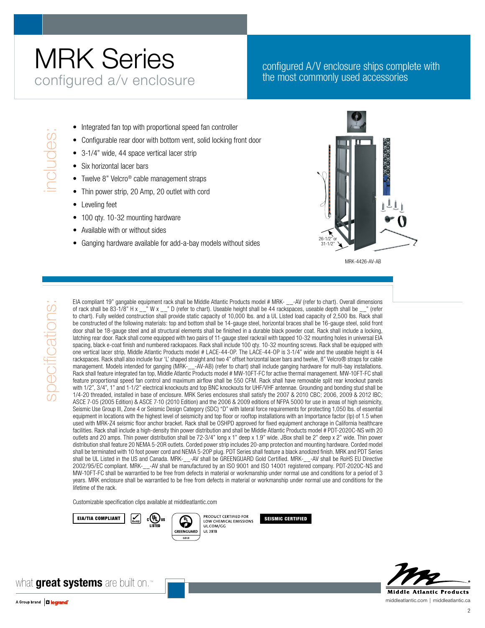### MRK Series configured a/v enclosure

#### configured A/V enclosure ships complete with the most commonly used accessories

- 
- Integrated fan top with proportional speed fan controller<br>
 Configurable rear door with bottom vent, solid locking fr<br>
 3-1/4" wide, 44 space vertical lacer strip<br>
 Six horizontal lacer bars<br>
 Twelve 8" Velcro® cable m Configurable rear door with bottom vent, solid locking front door
	- 3-1/4" wide, 44 space vertical lacer strip
	- Six horizontal lacer bars
	- Twelve 8" Velcro® cable management straps
	- Thin power strip, 20 Amp, 20 outlet with cord
	- Leveling feet
	- 100 gty. 10-32 mounting hardware
	- Available with or without sides
	- Ganging hardware available for add-a-bay models without sides



MRK-4426-AV-AB

EIA compliant 19" gangable equipment rack shall be Middle Atlantic Products model # MRK- \_\_-AV (refer to chart). Overall dimensions of rack shall be 83-1/8" H x \_\_" W x \_\_" D (refer to chart). Useable height shall be 44 rackspaces, useable depth shall be \_\_" (refer to chart). Fully welded construction shall provide static capacity of 10,000 lbs. and a UL Listed load capacity of 2,500 lbs. Rack shall be constructed of the following materials: top and bottom shall be 14-gauge steel, horizontal braces shall be 16-gauge steel, solid front door shall be 18-gauge steel and all structural elements shall be finished in a durable black powder coat. Rack shall include a locking, latching rear door. Rack shall come equipped with two pairs of 11-gauge steel rackrail with tapped 10-32 mounting holes in universal EIA spacing, black e-coat finish and numbered rackspaces. Rack shall include 100 qty. 10-32 mounting screws. Rack shall be equipped with one vertical lacer strip, Middle Atlantic Products model # LACE-44-OP. The LACE-44-OP is 3-1/4" wide and the useable height is 44 rackspaces. Rack shall also include four 'L' shaped straight and two 4" offset horizontal lacer bars and twelve, 8" Velcro® straps for cable management. Models intended for ganging (MRK-\_\_-AV-AB) (refer to chart) shall include ganging hardware for multi-bay installations. Rack shall feature integrated fan top, Middle Atlantic Products model # MW-10FT-FC for active thermal management. MW-10FT-FC shall feature proportional speed fan control and maximum airflow shall be 550 CFM. Rack shall have removable split rear knockout panels with 1/2", 3/4", 1" and 1-1/2" electrical knockouts and top BNC knockouts for UHF/VHF antennae. Grounding and bonding stud shall be 1/4-20 threaded, installed in base of enclosure. MRK Series enclosures shall satisfy the 2007 & 2010 CBC; 2006, 2009 & 2012 IBC; ASCE 7-05 (2005 Edition) & ASCE 7-10 (2010 Edition) and the 2006 & 2009 editions of NFPA 5000 for use in areas of high seismicity, Seismic Use Group III, Zone 4 or Seismic Design Category (SDC) "D" with lateral force requirements for protecting 1,050 lbs. of essential equipment in locations with the highest level of seismicity and top floor or rooftop installations with an Importance factor (Ip) of 1.5 when used with MRK-Z4 seismic floor anchor bracket. Rack shall be OSHPD approved for fixed equipment anchorage in California healthcare facilities. Rack shall include a high-density thin power distribution and shall be Middle Atlantic Products model # PDT-2020C-NS with 20 outlets and 20 amps. Thin power distribution shall be 72-3/4" long x 1" deep x 1.9" wide. JBox shall be 2" deep x 2" wide. Thin power distribution shall feature 20 NEMA 5-20R outlets. Corded power strip includes 20-amp protection and mounting hardware. Corded model shall be terminated with 10 foot power cord and NEMA 5-20P plug. PDT Series shall feature a black anodized finish. MRK and PDT Series shall be UL Listed in the US and Canada. MRK-\_\_-AV shall be GREENGUARD Gold Certified. MRK-\_\_-AV shall be RoHS EU Directive 2002/95/EC compliant. MRK-\_\_-AV shall be manufactured by an ISO 9001 and ISO 14001 registered company. PDT-2020C-NS and MW-10FT-FC shall be warrantied to be free from defects in material or workmanship under normal use and conditions for a period of 3 years. MRK enclosure shall be warrantied to be free from defects in material or workmanship under normal use and conditions for the lifetime of the rack.

Customizable specification clips available at middleatlantic.com







what **great systems** are built on.™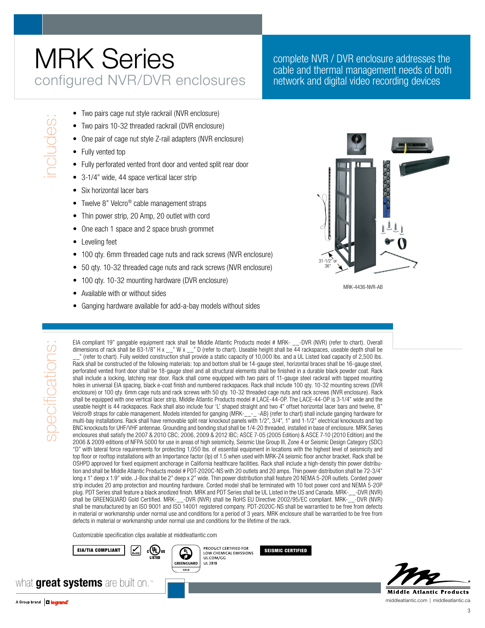# MRK Series configured NVR/DVR enclosures

complete NVR / DVR enclosure addresses the cable and thermal management needs of both network and digital video recording devices

- 
- Two pairs cage nut style rackrail (NVR enclosure)<br>■ Two pairs 10-32 threaded rackrail (DVR enclosure)<br>■ One pair of cage nut style Z-rail adapters (NVR enclosure)<br>■ Fully vented top<br>■ Fully perforated vented front door Two pairs 10-32 threaded rackrail (DVR enclosure)
	- One pair of cage nut style Z-rail adapters (NVR enclosure)
	- Fully vented top
	- Fully perforated vented front door and vented split rear door
	- 3-1/4" wide, 44 space vertical lacer strip
	- Six horizontal lacer bars
	- Twelve 8" Velcro<sup>®</sup> cable management straps
	- Thin power strip, 20 Amp, 20 outlet with cord
	- One each 1 space and 2 space brush grommet
	- Leveling feet
	- 100 qty. 6mm threaded cage nuts and rack screws (NVR enclosure)
	- 50 qty. 10-32 threaded cage nuts and rack screws (NVR enclosure)
	- 100 qty. 10-32 mounting hardware (DVR enclosure)
	- Available with or without sides
	- Ganging hardware available for add-a-bay models without sides



MRK-4436-NVR-AB

specifications specifications:

EIA compliant 19" gangable equipment rack shall be Middle Atlantic Products model # MRK- \_\_-DVR (NVR) (refer to chart). Overall dimensions of rack shall be 83-1/8" H x \_\_" W x \_\_" D (refer to chart). Useable height shall be 44 rackspaces, useable depth shall be \_\_" (refer to chart). Fully welded construction shall provide a static capacity of 10,000 lbs. and a UL Listed load capacity of 2,500 lbs. Rack shall be constructed of the following materials: top and bottom shall be 14-gauge steel, horizontal braces shall be 16-gauge steel, perforated vented front door shall be 18-gauge steel and all structural elements shall be finished in a durable black powder coat. Rack shall include a locking, latching rear door. Rack shall come equipped with two pairs of 11-gauge steel rackrail with tapped mounting holes in universal EIA spacing, black e-coat finish and numbered rackspaces. Rack shall include 100 qty. 10-32 mounting screws (DVR enclosure) or 100 qty. 6mm cage nuts and rack screws with 50 qty. 10-32 threaded cage nuts and rack screws (NVR enclosure). Rack shall be equipped with one vertical lacer strip, Middle Atlantic Products model # LACE-44-OP. The LACE-44-OP is 3-1/4" wide and the useable height is 44 rackspaces. Rack shall also include four 'L' shaped straight and two 4" offset horizontal lacer bars and twelve, 8" Velcro® straps for cable management. Models intended for ganging (MRK-\_\_-\_ -AB) (refer to chart) shall include ganging hardware for multi-bay installations. Rack shall have removable split rear knockout panels with 1/2", 3/4", 1" and 1-1/2" electrical knockouts and top BNC knockouts for UHF/VHF antennae. Grounding and bonding stud shall be 1/4-20 threaded, installed in base of enclosure. MRK Series enclosures shall satisfy the 2007 & 2010 CBC; 2006, 2009 & 2012 IBC; ASCE 7-05 (2005 Edition) & ASCE 7-10 (2010 Edition) and the 2006 & 2009 editions of NFPA 5000 for use in areas of high seismicity, Seismic Use Group III, Zone 4 or Seismic Design Category (SDC) "D" with lateral force requirements for protecting 1,050 lbs. of essential equipment in locations with the highest level of seismicity and top floor or rooftop installations with an Importance factor (Ip) of 1.5 when used with MRK-Z4 seismic floor anchor bracket. Rack shall be OSHPD approved for fixed equipment anchorage in California healthcare facilities. Rack shall include a high-density thin power distribution and shall be Middle Atlantic Products model # PDT-2020C-NS with 20 outlets and 20 amps. Thin power distribution shall be 72-3/4" long x 1" deep x 1.9" wide. J-Box shall be 2" deep x 2" wide. Thin power distribution shall feature 20 NEMA 5-20R outlets. Corded power strip includes 20 amp protection and mounting hardware. Corded model shall be terminated with 10 foot power cord and NEMA 5-20P plug. PDT Series shall feature a black anodized finish. MRK and PDT Series shall be UL Listed in the US and Canada. MRK-\_\_-DVR (NVR) shall be GREENGUARD Gold Certified. MRK-\_\_-DVR (NVR) shall be RoHS EU Directive 2002/95/EC compliant. MRK-\_\_-DVR (NVR) shall be manufactured by an ISO 9001 and ISO 14001 registered company. PDT-2020C-NS shall be warrantied to be free from defects in material or workmanship under normal use and conditions for a period of 3 years. MRK enclosure shall be warrantied to be free from defects in material or workmanship under normal use and conditions for the lifetime of the rack.

Customizable specification clips available at middleatlantic.com



UL.COM/GG GREENGUARD **UL 2818** 

what **great systems** are built on.

**Middle Atlantic Products** middleatlantic.com | middleatlantic.ca